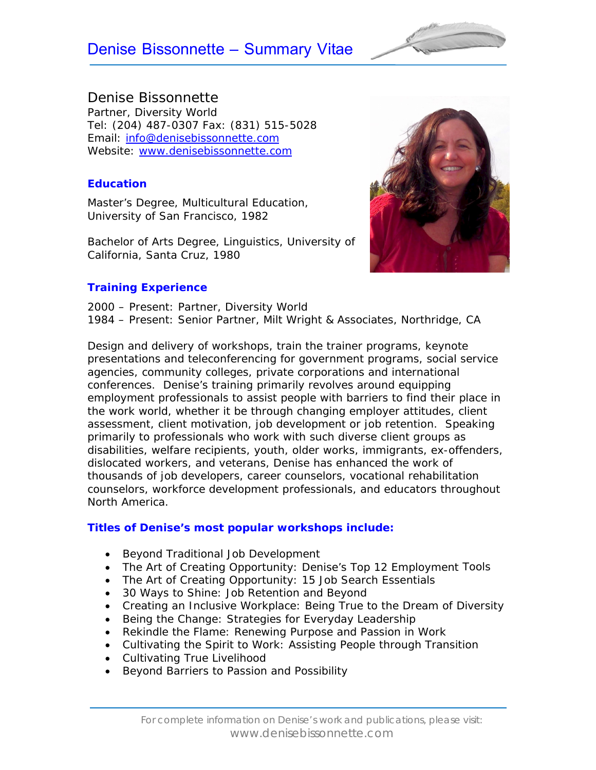# Denise Bissonnette – Summary Vitae



## Denise Bissonnette

Partner, Diversity World Tel: (204) 487-0307 Fax: (831) 515-5028 Email: info@denisebissonnette.com Website: www.denisebissonnette.com

#### **Education**

Master's Degree, *Multicultural Education*, University of San Francisco, 1982

Bachelor of Arts Degree, *Linguistics*, University of California, Santa Cruz, 1980



#### **Training Experience**

2000 – Present: Partner, Diversity World 1984 – Present: Senior Partner, Milt Wright & Associates, Northridge, CA

Design and delivery of workshops, train the trainer programs, keynote presentations and teleconferencing for government programs, social service agencies, community colleges, private corporations and international conferences. Denise's training primarily revolves around equipping employment professionals to assist people with barriers to find their place in the work world, whether it be through changing employer attitudes, client assessment, client motivation, job development or job retention. Speaking primarily to professionals who work with such diverse client groups as disabilities, welfare recipients, youth, older works, immigrants, ex-offenders, dislocated workers, and veterans, Denise has enhanced the work of thousands of job developers, career counselors, vocational rehabilitation counselors, workforce development professionals, and educators throughout North America.

#### **Titles of Denise's most popular workshops include:**

- Beyond Traditional Job Development
- The Art of Creating Opportunity: Denise's Top 12 Employment Tools
- The Art of Creating Opportunity: 15 Job Search Essentials
- 30 Ways to Shine: Job Retention and Beyond
- Creating an Inclusive Workplace: Being True to the Dream of Diversity
- Being the Change: Strategies for Everyday Leadership
- Rekindle the Flame: Renewing Purpose and Passion in Work
- Cultivating the Spirit to Work: Assisting People through Transition
- Cultivating True Livelihood
- **Beyond Barriers to Passion and Possibility**